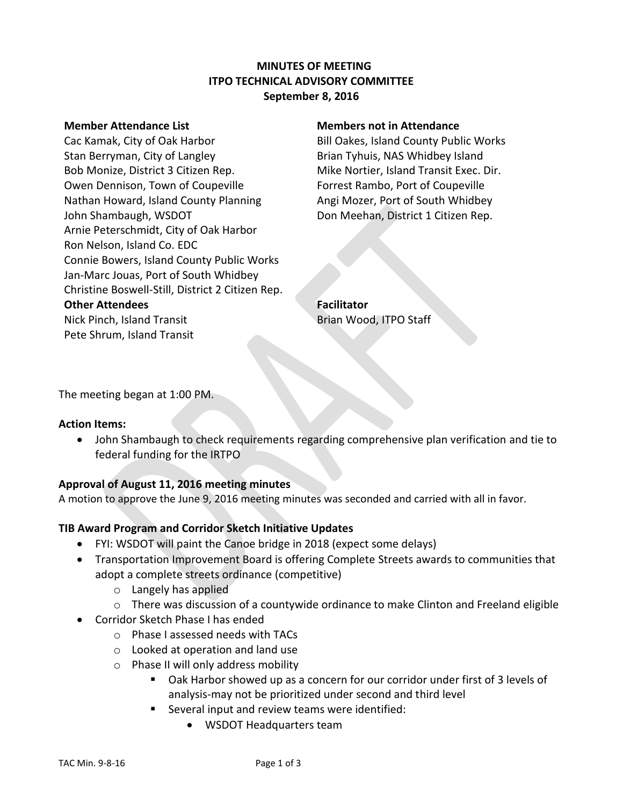# **MINUTES OF MEETING ITPO TECHNICAL ADVISORY COMMITTEE September 8, 2016**

Cac Kamak, City of Oak Harbor **Bill Oakes, Island County Public Works** Stan Berryman, City of Langley **Brian Tyhuis, NAS Whidbey Island** Bob Monize, District 3 Citizen Rep. Mike Nortier, Island Transit Exec. Dir. Owen Dennison, Town of Coupeville Forrest Rambo, Port of Coupeville Nathan Howard, Island County Planning **Angi Mozer, Port of South Whidbey** John Shambaugh, WSDOT Don Meehan, District 1 Citizen Rep. Arnie Peterschmidt, City of Oak Harbor Ron Nelson, Island Co. EDC Connie Bowers, Island County Public Works Jan-Marc Jouas, Port of South Whidbey Christine Boswell-Still, District 2 Citizen Rep. **Other Attendees Facilitator** Nick Pinch, Island Transit Brian Wood, ITPO Staff Pete Shrum, Island Transit

#### **Member Attendance List Members not in Attendance**

The meeting began at 1:00 PM.

#### **Action Items:**

 John Shambaugh to check requirements regarding comprehensive plan verification and tie to federal funding for the IRTPO

## **Approval of August 11, 2016 meeting minutes**

A motion to approve the June 9, 2016 meeting minutes was seconded and carried with all in favor.

## **TIB Award Program and Corridor Sketch Initiative Updates**

- FYI: WSDOT will paint the Canoe bridge in 2018 (expect some delays)
- Transportation Improvement Board is offering Complete Streets awards to communities that adopt a complete streets ordinance (competitive)
	- o Langely has applied
	- $\circ$  There was discussion of a countywide ordinance to make Clinton and Freeland eligible
- Corridor Sketch Phase I has ended
	- o Phase I assessed needs with TACs
	- o Looked at operation and land use
	- o Phase II will only address mobility
		- Oak Harbor showed up as a concern for our corridor under first of 3 levels of analysis-may not be prioritized under second and third level
		- Several input and review teams were identified:
			- WSDOT Headquarters team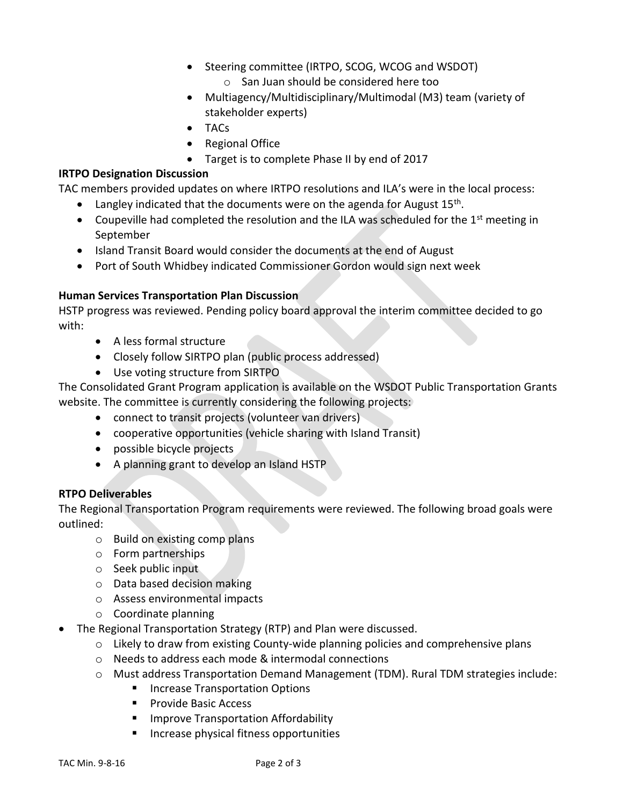- Steering committee (IRTPO, SCOG, WCOG and WSDOT) o San Juan should be considered here too
- Multiagency/Multidisciplinary/Multimodal (M3) team (variety of stakeholder experts)
- TACs
- Regional Office
- Target is to complete Phase II by end of 2017

# **IRTPO Designation Discussion**

TAC members provided updates on where IRTPO resolutions and ILA's were in the local process:

- $\bullet$  Langley indicated that the documents were on the agenda for August 15<sup>th</sup>.
- Coupeville had completed the resolution and the ILA was scheduled for the  $1<sup>st</sup>$  meeting in September
- Island Transit Board would consider the documents at the end of August
- Port of South Whidbey indicated Commissioner Gordon would sign next week

# **Human Services Transportation Plan Discussion**

HSTP progress was reviewed. Pending policy board approval the interim committee decided to go with:

- A less formal structure
- Closely follow SIRTPO plan (public process addressed)
- Use voting structure from SIRTPO

The Consolidated Grant Program application is available on the WSDOT Public Transportation Grants website. The committee is currently considering the following projects:

- connect to transit projects (volunteer van drivers)
- cooperative opportunities (vehicle sharing with Island Transit)
- possible bicycle projects
- A planning grant to develop an Island HSTP

# **RTPO Deliverables**

The Regional Transportation Program requirements were reviewed. The following broad goals were outlined:

- o Build on existing comp plans
- o Form partnerships
- o Seek public input
- o Data based decision making
- o Assess environmental impacts
- o Coordinate planning
- The Regional Transportation Strategy (RTP) and Plan were discussed.
	- $\circ$  Likely to draw from existing County-wide planning policies and comprehensive plans
	- o Needs to address each mode & intermodal connections
	- $\circ$  Must address Transportation Demand Management (TDM). Rural TDM strategies include:
		- **Increase Transportation Options**
		- **Provide Basic Access**
		- **Improve Transportation Affordability**
		- **Increase physical fitness opportunities**